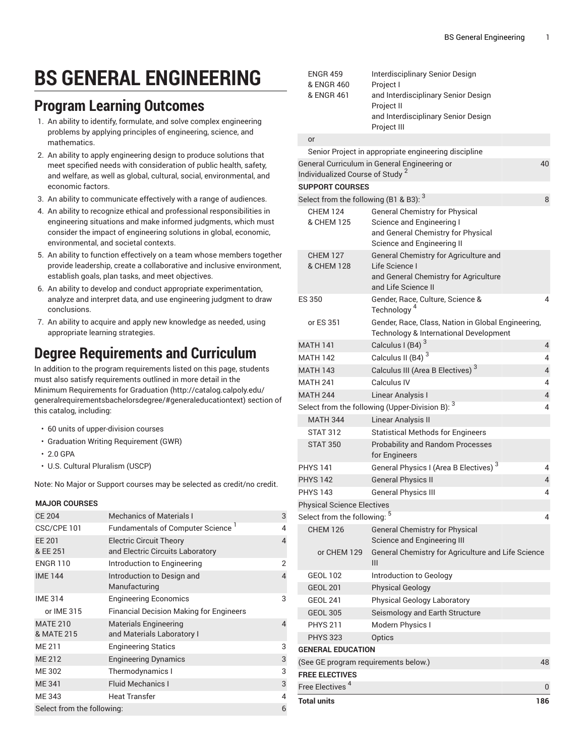# **BS GENERAL ENGINEERING**

### **Program Learning Outcomes**

- 1. An ability to identify, formulate, and solve complex engineering problems by applying principles of engineering, science, and mathematics.
- 2. An ability to apply engineering design to produce solutions that meet specified needs with consideration of public health, safety, and welfare, as well as global, cultural, social, environmental, and economic factors.
- 3. An ability to communicate effectively with a range of audiences.
- 4. An ability to recognize ethical and professional responsibilities in engineering situations and make informed judgments, which must consider the impact of engineering solutions in global, economic, environmental, and societal contexts.
- 5. An ability to function effectively on a team whose members together provide leadership, create a collaborative and inclusive environment, establish goals, plan tasks, and meet objectives.
- 6. An ability to develop and conduct appropriate experimentation, analyze and interpret data, and use engineering judgment to draw conclusions.
- 7. An ability to acquire and apply new knowledge as needed, using appropriate learning strategies.

# **Degree Requirements and Curriculum**

In addition to the program requirements listed on this page, students must also satisfy requirements outlined in more detail in the Minimum [Requirements](http://catalog.calpoly.edu/generalrequirementsbachelorsdegree/#generaleducationtext) for Graduation ([http://catalog.calpoly.edu/](http://catalog.calpoly.edu/generalrequirementsbachelorsdegree/#generaleducationtext) [generalrequirementsbachelorsdegree/#generaleducationtext\)](http://catalog.calpoly.edu/generalrequirementsbachelorsdegree/#generaleducationtext) section of this catalog, including:

- 60 units of upper-division courses
- Graduation Writing Requirement (GWR)
- 2.0 GPA
- U.S. Cultural Pluralism (USCP)

Note: No Major or Support courses may be selected as credit/no credit.

#### **MAJOR COURSES**

| <b>CE 204</b>                 | <b>Mechanics of Materials I</b>                                    | 3 |
|-------------------------------|--------------------------------------------------------------------|---|
| CSC/CPE 101                   | <b>Fundamentals of Computer Science</b>                            | 4 |
| <b>EE 201</b><br>& EE 251     | <b>Electric Circuit Theory</b><br>and Electric Circuits Laboratory | 4 |
| <b>ENGR 110</b>               | Introduction to Engineering                                        | 2 |
| <b>IME 144</b>                | Introduction to Design and<br>Manufacturing                        | 4 |
| <b>IME 314</b>                | <b>Engineering Economics</b>                                       | 3 |
| or IME 315                    | <b>Financial Decision Making for Engineers</b>                     |   |
| <b>MATE 210</b><br>& MATE 215 | <b>Materials Engineering</b><br>and Materials Laboratory I         | 4 |
| ME 211                        | <b>Engineering Statics</b>                                         | 3 |
| <b>ME 212</b>                 | <b>Engineering Dynamics</b>                                        | 3 |
| ME 302                        | Thermodynamics I                                                   | 3 |
| <b>ME 341</b>                 | <b>Fluid Mechanics I</b>                                           | 3 |
| ME 343                        | <b>Heat Transfer</b>                                               | 4 |
| Select from the following:    |                                                                    |   |

| <b>ENGR 459</b> | Interdisciplinary Senior Design     |
|-----------------|-------------------------------------|
| & ENGR 460      | Project I                           |
| & ENGR 461      | and Interdisciplinary Senior Design |
|                 | Project II                          |
|                 | and Interdisciplinary Senior Design |
|                 | Project III                         |
|                 |                                     |

#### or

| <b>FREE ELECTIVES</b><br>Free Electives <sup>4</sup> |                                                                                                                                        | 0                   |
|------------------------------------------------------|----------------------------------------------------------------------------------------------------------------------------------------|---------------------|
| (See GE program requirements below.)                 |                                                                                                                                        | 48                  |
| <b>GENERAL EDUCATION</b>                             |                                                                                                                                        |                     |
| <b>PHYS 323</b>                                      | Optics                                                                                                                                 |                     |
| <b>PHYS 211</b>                                      | Modern Physics I                                                                                                                       |                     |
| <b>GEOL 305</b>                                      | Seismology and Earth Structure                                                                                                         |                     |
| <b>GEOL 241</b>                                      | <b>Physical Geology Laboratory</b>                                                                                                     |                     |
| <b>GEOL 201</b>                                      | <b>Physical Geology</b>                                                                                                                |                     |
| <b>GEOL 102</b>                                      | Introduction to Geology                                                                                                                |                     |
| or CHEM 129                                          | General Chemistry for Agriculture and Life Science<br>Ш                                                                                |                     |
| <b>CHEM 126</b>                                      | <b>General Chemistry for Physical</b><br>Science and Engineering III                                                                   |                     |
| Select from the following: <sup>5</sup>              |                                                                                                                                        | 4                   |
| <b>Physical Science Electives</b>                    |                                                                                                                                        |                     |
| <b>PHYS 143</b>                                      | <b>General Physics III</b>                                                                                                             | 4                   |
| <b>PHYS 142</b>                                      | <b>General Physics II</b>                                                                                                              | 4                   |
| <b>PHYS 141</b>                                      | for Engineers<br>General Physics I (Area B Electives) <sup>3</sup>                                                                     | 4                   |
| <b>STAT 312</b><br><b>STAT 350</b>                   | <b>Statistical Methods for Engineers</b><br><b>Probability and Random Processes</b>                                                    |                     |
| <b>MATH 344</b>                                      | Linear Analysis II                                                                                                                     |                     |
|                                                      | Select from the following (Upper-Division B): $^3$                                                                                     | 4                   |
|                                                      | Linear Analysis I                                                                                                                      |                     |
| <b>MATH 241</b><br><b>MATH 244</b>                   |                                                                                                                                        | 4<br>4              |
|                                                      | Calculus IV                                                                                                                            |                     |
| <b>MATH 142</b><br><b>MATH 143</b>                   | Calculus III (Area B Electives) <sup>3</sup>                                                                                           | 4<br>$\overline{4}$ |
|                                                      | Calculus II (B4) <sup>3</sup>                                                                                                          |                     |
| or ES 351<br><b>MATH 141</b>                         | Gender, Race, Class, Nation in Global Engineering,<br>Technology & International Development<br>Calculus I (B4) $3$                    | $\overline{4}$      |
| ES 350                                               | Gender, Race, Culture, Science &<br>Technology <sup>4</sup>                                                                            | 4                   |
| <b>CHEM 127</b><br>& CHEM 128                        | General Chemistry for Agriculture and<br>Life Science I<br>and General Chemistry for Agriculture<br>and Life Science II                |                     |
| <b>CHEM 124</b><br>& CHEM 125                        | <b>General Chemistry for Physical</b><br>Science and Engineering I<br>and General Chemistry for Physical<br>Science and Engineering II |                     |
| Select from the following (B1 & B3): $^3$            |                                                                                                                                        | 8                   |
| <b>SUPPORT COURSES</b>                               |                                                                                                                                        |                     |
| Individualized Course of Study <sup>2</sup>          | General Curriculum in General Engineering or                                                                                           | 40                  |
|                                                      | Senior Project in appropriate engineering discipline                                                                                   |                     |
|                                                      |                                                                                                                                        |                     |